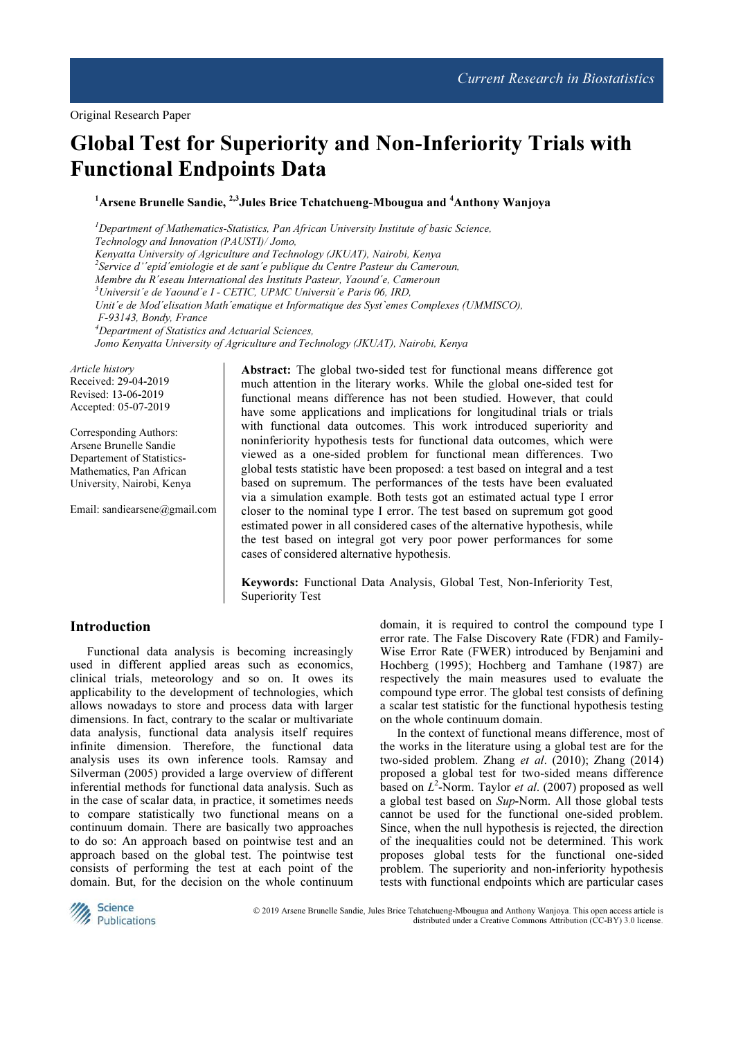# Global Test for Superiority and Non-Inferiority Trials with Functional Endpoints Data

## <sup>1</sup>Arsene Brunelle Sandie, <sup>2,3</sup> Jules Brice Tchatchueng-Mbougua and <sup>4</sup>Anthony Wanjoya

 $<sup>1</sup>$ Department of Mathematics-Statistics, Pan African University Institute of basic Science,</sup> Technology and Innovation (PAUSTI)/ Jomo, Kenyatta University of Agriculture and Technology (JKUAT), Nairobi, Kenya <sup>2</sup>Service d''epid'emiologie et de sant'e publique du Centre Pasteur du Cameroun, Membre du R´eseau International des Instituts Pasteur, Yaound´e, Cameroun  $3$ Universit'e de Yaound'e I - CETIC, UPMC Universit'e Paris 06, IRD, Unit´e de Mod´elisation Math´ematique et Informatique des Syst`emes Complexes (UMMISCO), F-93143, Bondy, France <sup>4</sup>Department of Statistics and Actuarial Sciences, Jomo Kenyatta University of Agriculture and Technology (JKUAT), Nairobi, Kenya Article history

Received: 29-04-2019 Revised: 13-06-2019 Accepted: 05-07-2019

Corresponding Authors: Arsene Brunelle Sandie Departement of Statistics-Mathematics, Pan African University, Nairobi, Kenya

Email: sandiearsene@gmail.com

Abstract: The global two-sided test for functional means difference got much attention in the literary works. While the global one-sided test for functional means difference has not been studied. However, that could have some applications and implications for longitudinal trials or trials with functional data outcomes. This work introduced superiority and noninferiority hypothesis tests for functional data outcomes, which were viewed as a one-sided problem for functional mean differences. Two global tests statistic have been proposed: a test based on integral and a test based on supremum. The performances of the tests have been evaluated via a simulation example. Both tests got an estimated actual type I error closer to the nominal type I error. The test based on supremum got good estimated power in all considered cases of the alternative hypothesis, while the test based on integral got very poor power performances for some cases of considered alternative hypothesis.

Keywords: Functional Data Analysis, Global Test, Non-Inferiority Test, Superiority Test

## Introduction

Functional data analysis is becoming increasingly used in different applied areas such as economics, clinical trials, meteorology and so on. It owes its applicability to the development of technologies, which allows nowadays to store and process data with larger dimensions. In fact, contrary to the scalar or multivariate data analysis, functional data analysis itself requires infinite dimension. Therefore, the functional data analysis uses its own inference tools. Ramsay and Silverman (2005) provided a large overview of different inferential methods for functional data analysis. Such as in the case of scalar data, in practice, it sometimes needs to compare statistically two functional means on a continuum domain. There are basically two approaches to do so: An approach based on pointwise test and an approach based on the global test. The pointwise test consists of performing the test at each point of the domain. But, for the decision on the whole continuum

domain, it is required to control the compound type I error rate. The False Discovery Rate (FDR) and Family-Wise Error Rate (FWER) introduced by Benjamini and Hochberg (1995); Hochberg and Tamhane (1987) are respectively the main measures used to evaluate the compound type error. The global test consists of defining a scalar test statistic for the functional hypothesis testing on the whole continuum domain.

In the context of functional means difference, most of the works in the literature using a global test are for the two-sided problem. Zhang et al. (2010); Zhang (2014) proposed a global test for two-sided means difference based on  $L^2$ -Norm. Taylor *et al.* (2007) proposed as well a global test based on Sup-Norm. All those global tests cannot be used for the functional one-sided problem. Since, when the null hypothesis is rejected, the direction of the inequalities could not be determined. This work proposes global tests for the functional one-sided problem. The superiority and non-inferiority hypothesis tests with functional endpoints which are particular cases



 © 2019 Arsene Brunelle Sandie, Jules Brice Tchatchueng-Mbougua and Anthony Wanjoya. This open access article is distributed under a Creative Commons Attribution (CC-BY) 3.0 license.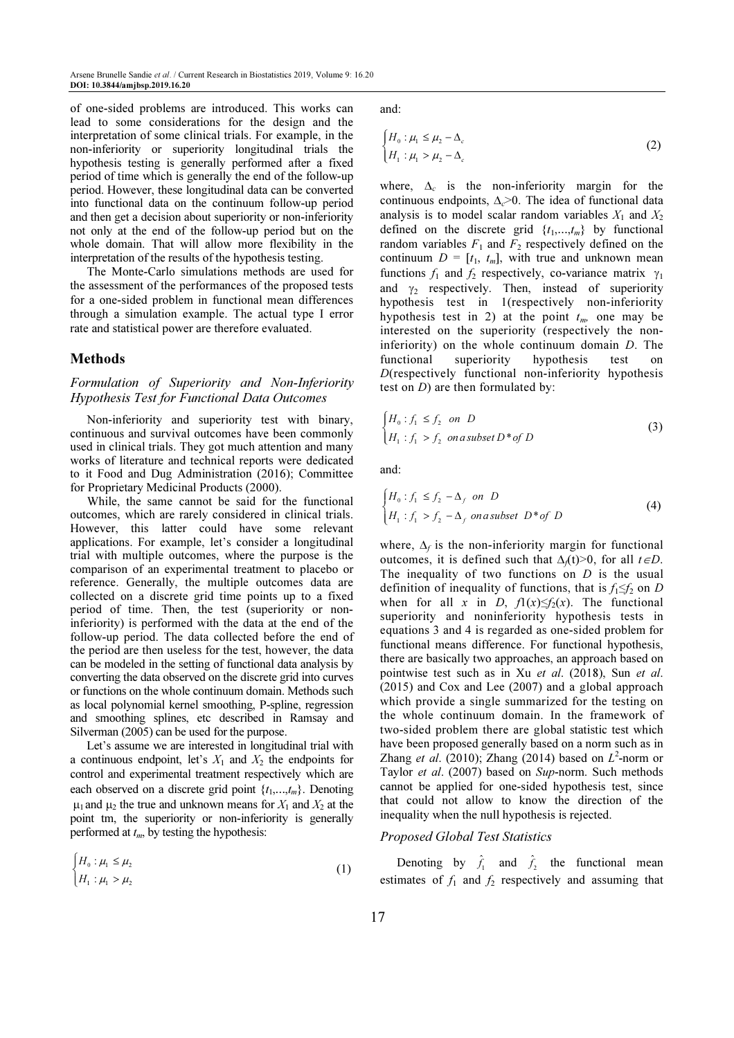of one-sided problems are introduced. This works can lead to some considerations for the design and the interpretation of some clinical trials. For example, in the non-inferiority or superiority longitudinal trials the hypothesis testing is generally performed after a fixed period of time which is generally the end of the follow-up period. However, these longitudinal data can be converted into functional data on the continuum follow-up period and then get a decision about superiority or non-inferiority not only at the end of the follow-up period but on the whole domain. That will allow more flexibility in the interpretation of the results of the hypothesis testing.

The Monte-Carlo simulations methods are used for the assessment of the performances of the proposed tests for a one-sided problem in functional mean differences through a simulation example. The actual type I error rate and statistical power are therefore evaluated.

## Methods

## Formulation of Superiority and Non-Inferiority Hypothesis Test for Functional Data Outcomes

Non-inferiority and superiority test with binary, continuous and survival outcomes have been commonly used in clinical trials. They got much attention and many works of literature and technical reports were dedicated to it Food and Dug Administration (2016); Committee for Proprietary Medicinal Products (2000).

While, the same cannot be said for the functional outcomes, which are rarely considered in clinical trials. However, this latter could have some relevant applications. For example, let's consider a longitudinal trial with multiple outcomes, where the purpose is the comparison of an experimental treatment to placebo or reference. Generally, the multiple outcomes data are collected on a discrete grid time points up to a fixed period of time. Then, the test (superiority or noninferiority) is performed with the data at the end of the follow-up period. The data collected before the end of the period are then useless for the test, however, the data can be modeled in the setting of functional data analysis by converting the data observed on the discrete grid into curves or functions on the whole continuum domain. Methods such as local polynomial kernel smoothing, P-spline, regression and smoothing splines, etc described in Ramsay and Silverman (2005) can be used for the purpose.

Let's assume we are interested in longitudinal trial with a continuous endpoint, let's  $X_1$  and  $X_2$  the endpoints for control and experimental treatment respectively which are each observed on a discrete grid point  $\{t_1, \ldots, t_m\}$ . Denoting  $\mu_1$  and  $\mu_2$  the true and unknown means for  $X_1$  and  $X_2$  at the point tm, the superiority or non-inferiority is generally performed at  $t_m$ , by testing the hypothesis:

$$
\begin{cases} H_0: \mu_1 \le \mu_2 \\ H_1: \mu_1 > \mu_2 \end{cases} \tag{1}
$$

and:

$$
\begin{cases} H_0: \mu_1 \le \mu_2 - \Delta_c \\ H_1: \mu_1 > \mu_2 - \Delta_c \end{cases}
$$
 (2)

where,  $\Delta_c$  is the non-inferiority margin for the continuous endpoints,  $\Delta_c$ >0. The idea of functional data analysis is to model scalar random variables  $X_1$  and  $X_2$ defined on the discrete grid  $\{t_1, \ldots, t_m\}$  by functional random variables  $F_1$  and  $F_2$  respectively defined on the continuum  $D = [t_1, t_m]$ , with true and unknown mean functions  $f_1$  and  $f_2$  respectively, co-variance matrix  $\gamma_1$ and  $\gamma_2$  respectively. Then, instead of superiority hypothesis test in 1(respectively non-inferiority hypothesis test in 2) at the point  $t_m$ , one may be interested on the superiority (respectively the noninferiority) on the whole continuum domain D. The functional superiority hypothesis test on D(respectively functional non-inferiority hypothesis test on  $D$ ) are then formulated by:

$$
\begin{cases}\nH_0: f_1 \le f_2 \text{ on } D \\
H_1: f_1 > f_2 \text{ on a subset } D^* \text{ of } D\n\end{cases} \tag{3}
$$

and:

$$
\begin{cases}\nH_0: f_1 \le f_2 - \Delta_f \text{ on } D \\
H_1: f_1 > f_2 - \Delta_f \text{ on a subset } D^* \text{ of } D\n\end{cases}
$$
\n(4)

where,  $\Delta_f$  is the non-inferiority margin for functional outcomes, it is defined such that  $\Delta f(t) > 0$ , for all  $t \in D$ . The inequality of two functions on  $D$  is the usual definition of inequality of functions, that is  $f_1 \leq f_2$  on D when for all x in D,  $f(x) \le f_2(x)$ . The functional superiority and noninferiority hypothesis tests in equations 3 and 4 is regarded as one-sided problem for functional means difference. For functional hypothesis, there are basically two approaches, an approach based on pointwise test such as in Xu et al. (2018), Sun et al. (2015) and Cox and Lee (2007) and a global approach which provide a single summarized for the testing on the whole continuum domain. In the framework of two-sided problem there are global statistic test which have been proposed generally based on a norm such as in Zhang et al. (2010); Zhang (2014) based on  $L^2$ -norm or Taylor et al. (2007) based on Sup-norm. Such methods cannot be applied for one-sided hypothesis test, since that could not allow to know the direction of the inequality when the null hypothesis is rejected.

#### Proposed Global Test Statistics

Denoting by  $\hat{f}_1$  and  $\hat{f}_2$  the functional mean estimates of  $f_1$  and  $f_2$  respectively and assuming that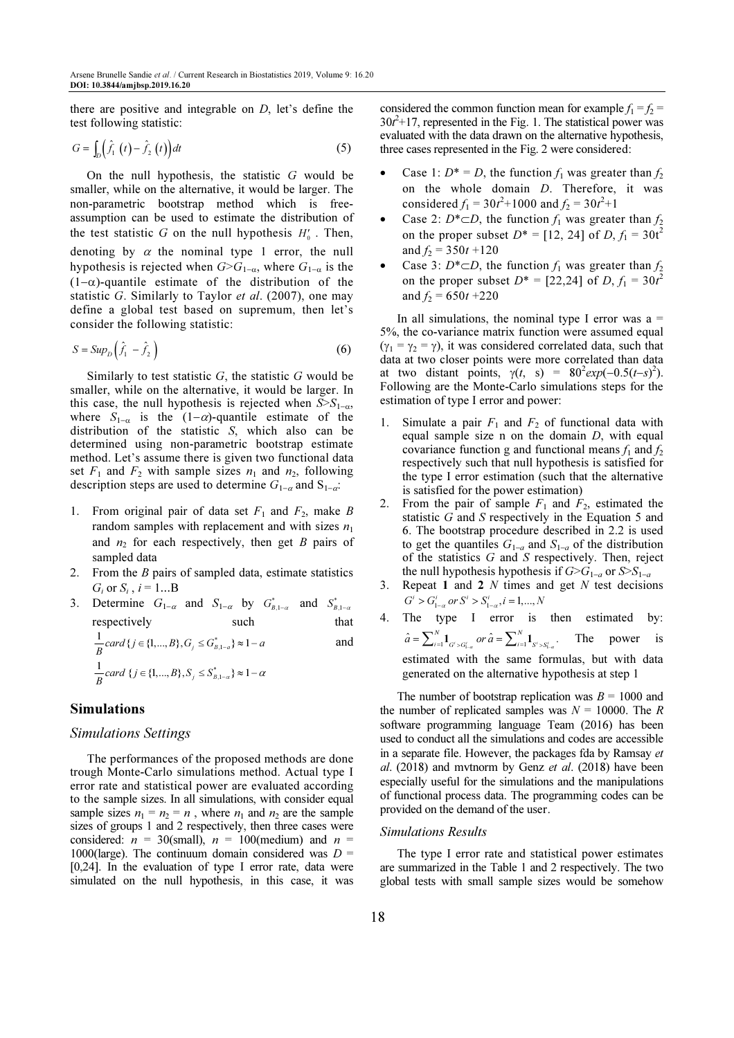there are positive and integrable on  $D$ , let's define the test following statistic:

$$
G = \int_{D} \left( \hat{f}_1 \left( t \right) - \hat{f}_2 \left( t \right) \right) dt \tag{5}
$$

On the null hypothesis, the statistic  $G$  would be smaller, while on the alternative, it would be larger. The non-parametric bootstrap method which is freeassumption can be used to estimate the distribution of the test statistic G on the null hypothesis  $H_0'$ . Then, denoting by  $\alpha$  the nominal type 1 error, the null hypothesis is rejected when  $G>G_{1-\alpha}$ , where  $G_{1-\alpha}$  is the  $(1-\alpha)$ -quantile estimate of the distribution of the statistic G. Similarly to Taylor *et al.* (2007), one may define a global test based on supremum, then let's consider the following statistic:

$$
S = \text{Sup}_D \left( \hat{f}_1 - \hat{f}_2 \right) \tag{6}
$$

Similarly to test statistic  $G$ , the statistic  $G$  would be smaller, while on the alternative, it would be larger. In this case, the null hypothesis is rejected when  $S > S_{1-\alpha}$ , where  $S_{1-\alpha}$  is the  $(1-\alpha)$ -quantile estimate of the distribution of the statistic S, which also can be determined using non-parametric bootstrap estimate method. Let's assume there is given two functional data set  $F_1$  and  $F_2$  with sample sizes  $n_1$  and  $n_2$ , following description steps are used to determine  $G_{1-\alpha}$  and  $S_{1-\alpha}$ .

- 1. From original pair of data set  $F_1$  and  $F_2$ , make B random samples with replacement and with sizes  $n_1$ and  $n_2$  for each respectively, then get B pairs of sampled data
- 2. From the  $B$  pairs of sampled data, estimate statistics  $G_i$  or  $S_i$ ,  $i = 1...B$
- 3. Determine  $G_{1-\alpha}$  and  $S_{1-\alpha}$  by  $G_{B,1-\alpha}^*$  and  $S_{B,1-\alpha}^*$ respectively such that

$$
\frac{1}{B} \text{card} \{ j \in \{1, ..., B\}, G_j \le G_{B,1-a}^* \} \approx 1 - a
$$
 and  

$$
\frac{1}{B} \text{card} \{ j \in \{1, ..., B\}, S_j \le S_{B,1-a}^* \} \approx 1 - \alpha
$$

## Simulations

#### Simulations Settings

The performances of the proposed methods are done trough Monte-Carlo simulations method. Actual type I error rate and statistical power are evaluated according to the sample sizes. In all simulations, with consider equal sample sizes  $n_1 = n_2 = n$ , where  $n_1$  and  $n_2$  are the sample sizes of groups 1 and 2 respectively, then three cases were considered:  $n = 30$ (small),  $n = 100$ (medium) and  $n =$ 1000(large). The continuum domain considered was  $D =$ [0,24]. In the evaluation of type I error rate, data were simulated on the null hypothesis, in this case, it was considered the common function mean for example  $f_1 = f_2$  =  $30t^2+17$ , represented in the Fig. 1. The statistical power was evaluated with the data drawn on the alternative hypothesis, three cases represented in the Fig. 2 were considered:

- Case 1:  $D^* = D$ , the function  $f_1$  was greater than  $f_2$ on the whole domain D. Therefore, it was considered  $f_1 = 30t^2 + 1000$  and  $f_2 = 30t^2 + 1$
- Case 2:  $D^*$ ⊂D, the function  $f_1$  was greater than  $f_2$ on the proper subset  $D^* = [12, 24]$  of  $D, f_1 = 30t^2$ and  $f_2 = 350t + 120$
- Case 3: D<sup>\*</sup>⊂D, the function  $f_1$  was greater than  $f_2$ on the proper subset  $D^* = [22, 24]$  of  $D, f_1 = 30t^2$ and  $f_2 = 650t + 220$

In all simulations, the nominal type I error was  $a =$ 5%, the co-variance matrix function were assumed equal  $(\gamma_1 = \gamma_2 = \gamma)$ , it was considered correlated data, such that data at two closer points were more correlated than data at two distant points,  $\gamma(t, s) = 80^2 exp(-0.5(t-s)^2)$ . Following are the Monte-Carlo simulations steps for the estimation of type I error and power:

- 1. Simulate a pair  $F_1$  and  $F_2$  of functional data with equal sample size  $n$  on the domain  $D$ , with equal covariance function g and functional means  $f_1$  and  $f_2$ respectively such that null hypothesis is satisfied for the type I error estimation (such that the alternative is satisfied for the power estimation)
- 2. From the pair of sample  $F_1$  and  $F_2$ , estimated the statistic G and S respectively in the Equation 5 and 6. The bootstrap procedure described in 2.2 is used to get the quantiles  $G_{1-a}$  and  $S_{1-a}$  of the distribution of the statistics G and S respectively. Then, reject the null hypothesis hypothesis if  $G>G_{1-a}$  or  $S>S_{1-a}$
- 3. Repeat 1 and 2  $N$  times and get  $N$  test decisions  $G^{i} > G_{1, \alpha}^{i}$  or  $S^{i} > S_{1, \alpha}^{i}$ ,  $i = 1,..., N$
- 4. The type I error is then estimated by:  $\hat{a} = \sum_{i=1}^{N} 1_{G^{i} > G^{i}_{1-\alpha}}$  or  $\hat{a} = \sum_{i=1}^{N} 1_{S^{i} > S^{i}_{1-\alpha}}$ .  $\hat{a} = \sum_{i=1}^{N} \mathbf{1}_{G' > G'_{1-a}}$  or  $\hat{a} = \sum_{i=1}^{N} \mathbf{1}_{S' > S'_{1-a}}$ . The power is estimated with the same formulas, but with data generated on the alternative hypothesis at step 1

The number of bootstrap replication was  $B = 1000$  and the number of replicated samples was  $N = 10000$ . The R software programming language Team (2016) has been used to conduct all the simulations and codes are accessible in a separate file. However, the packages fda by Ramsay et  $al.$  (2018) and mythorm by Genz *et al.* (2018) have been especially useful for the simulations and the manipulations of functional process data. The programming codes can be provided on the demand of the user.

#### Simulations Results

The type I error rate and statistical power estimates are summarized in the Table 1 and 2 respectively. The two global tests with small sample sizes would be somehow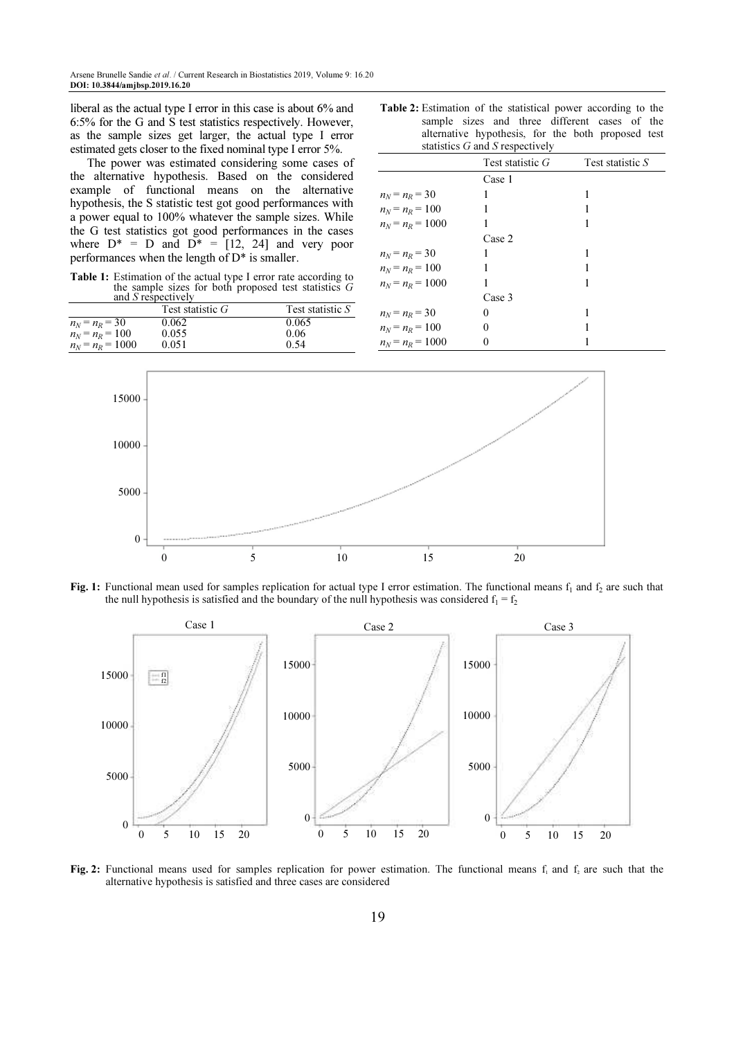liberal as the actual type I error in this case is about 6% and 6:5% for the G and S test statistics respectively. However, as the sample sizes get larger, the actual type I error estimated gets closer to the fixed nominal type I error 5%.

The power was estimated considering some cases of the alternative hypothesis. Based on the considered example of functional means on the alternative hypothesis, the S statistic test got good performances with a power equal to 100% whatever the sample sizes. While the G test statistics got good performances in the cases where  $D^* = D$  and  $D^* = [12, 24]$  and very poor performances when the length of D\* is smaller.

Table 1: Estimation of the actual type I error rate according to the sample sizes for both proposed test statistics  $G$ and *S* respectively

|                    | Test statistic $G$ | Test statistic S |
|--------------------|--------------------|------------------|
| $n_N = n_R = 30$   | 0.062              | 0.065            |
| $n_N = n_R = 100$  | 0.055              | 0.06             |
| $n_N = n_R = 1000$ | 0.051              | 0.54             |

Table 2: Estimation of the statistical power according to the sample sizes and three different cases of the alternative hypothesis, for the both proposed test statistics  $G$  and  $S$  respectively

|                    | Test statistic G | Test statistic S |
|--------------------|------------------|------------------|
|                    | Case 1           |                  |
| $n_N = n_R = 30$   |                  |                  |
| $n_N = n_R = 100$  |                  |                  |
| $n_N = n_R = 1000$ |                  |                  |
|                    | Case 2           |                  |
| $n_N = n_R = 30$   | 1                |                  |
| $n_N = n_R = 100$  |                  |                  |
| $n_N = n_R = 1000$ |                  |                  |
|                    | Case 3           |                  |
| $n_N = n_R = 30$   | 0                |                  |
| $n_N = n_R = 100$  | 0                |                  |
| $n_N = n_R = 1000$ | 0                |                  |



Fig. 1: Functional mean used for samples replication for actual type I error estimation. The functional means  $f_1$  and  $f_2$  are such that the null hypothesis is satisfied and the boundary of the null hypothesis was considered  $f_1 = f_2$ 



Fig. 2: Functional means used for samples replication for power estimation. The functional means  $f_1$  and  $f_2$  are such that the alternative hypothesis is satisfied and three cases are considered